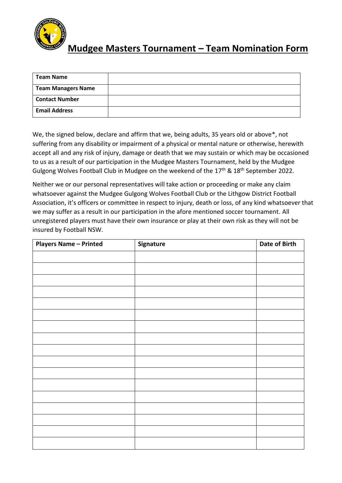

## **Mudgee Masters Tournament – Team Nomination Form**

| <b>Team Name</b>          |  |
|---------------------------|--|
| <b>Team Managers Name</b> |  |
| <b>Contact Number</b>     |  |
| <b>Email Address</b>      |  |

We, the signed below, declare and affirm that we, being adults, 35 years old or above\*, not suffering from any disability or impairment of a physical or mental nature or otherwise, herewith accept all and any risk of injury, damage or death that we may sustain or which may be occasioned to us as a result of our participation in the Mudgee Masters Tournament, held by the Mudgee Gulgong Wolves Football Club in Mudgee on the weekend of the 17<sup>th</sup> & 18<sup>th</sup> September 2022.

Neither we or our personal representatives will take action or proceeding or make any claim whatsoever against the Mudgee Gulgong Wolves Football Club or the Lithgow District Football Association, it's officers or committee in respect to injury, death or loss, of any kind whatsoever that we may suffer as a result in our participation in the afore mentioned soccer tournament. All unregistered players must have their own insurance or play at their own risk as they will not be insured by Football NSW.

| <b>Players Name - Printed</b> | Signature | Date of Birth |
|-------------------------------|-----------|---------------|
|                               |           |               |
|                               |           |               |
|                               |           |               |
|                               |           |               |
|                               |           |               |
|                               |           |               |
|                               |           |               |
|                               |           |               |
|                               |           |               |
|                               |           |               |
|                               |           |               |
|                               |           |               |
|                               |           |               |
|                               |           |               |
|                               |           |               |
|                               |           |               |
|                               |           |               |